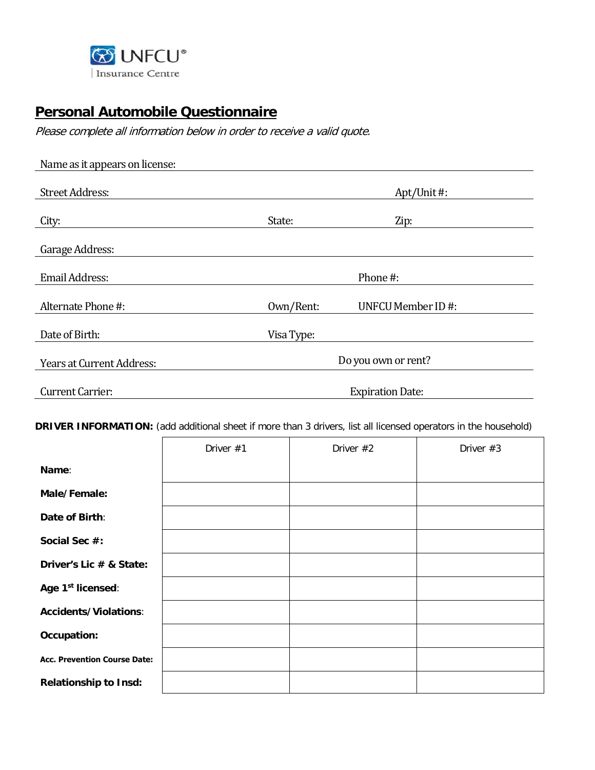

## **Personal Automobile Questionnaire**

Please complete all information below in order to receive a valid quote.

| Name as it appears on license:   |            |                         |
|----------------------------------|------------|-------------------------|
| <b>Street Address:</b>           |            | Apt/Unit#:              |
| City:                            | State:     | Zip:                    |
| Garage Address:                  |            |                         |
| <b>Email Address:</b>            |            | Phone#:                 |
| Alternate Phone #:               | Own/Rent:  | UNFCU Member ID#:       |
| Date of Birth:                   | Visa Type: |                         |
| <b>Years at Current Address:</b> |            | Do you own or rent?     |
| Current Carrier:                 |            | <b>Expiration Date:</b> |

**DRIVER INFORMATION:** (add additional sheet if more than 3 drivers, list all licensed operators in the household)

|                                     | Driver #1 | Driver #2 | Driver #3 |
|-------------------------------------|-----------|-----------|-----------|
| Name:                               |           |           |           |
| Male/Female:                        |           |           |           |
| Date of Birth:                      |           |           |           |
| Social Sec #:                       |           |           |           |
| Driver's Lic # & State:             |           |           |           |
| Age 1st licensed:                   |           |           |           |
| <b>Accidents/Violations:</b>        |           |           |           |
| Occupation:                         |           |           |           |
| <b>Acc. Prevention Course Date:</b> |           |           |           |
| <b>Relationship to Insd:</b>        |           |           |           |